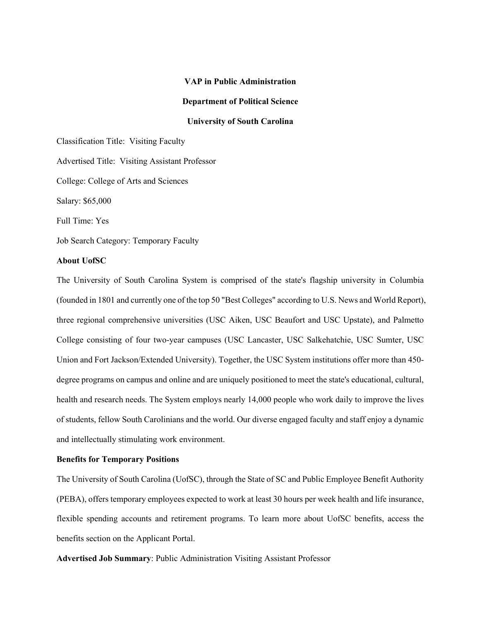# VAP in Public Administration

#### Department of Political Science

# University of South Carolina

Classification Title: Visiting Faculty Advertised Title: Visiting Assistant Professor College: College of Arts and Sciences Salary: \$65,000 Full Time: Yes Job Search Category: Temporary Faculty

# About UofSC

The University of South Carolina System is comprised of the state's flagship university in Columbia (founded in 1801 and currently one of the top 50 "Best Colleges" according to U.S. News and World Report), three regional comprehensive universities (USC Aiken, USC Beaufort and USC Upstate), and Palmetto College consisting of four two-year campuses (USC Lancaster, USC Salkehatchie, USC Sumter, USC Union and Fort Jackson/Extended University). Together, the USC System institutions offer more than 450 degree programs on campus and online and are uniquely positioned to meet the state's educational, cultural, health and research needs. The System employs nearly 14,000 people who work daily to improve the lives of students, fellow South Carolinians and the world. Our diverse engaged faculty and staff enjoy a dynamic and intellectually stimulating work environment.

# Benefits for Temporary Positions

The University of South Carolina (UofSC), through the State of SC and Public Employee Benefit Authority (PEBA), offers temporary employees expected to work at least 30 hours per week health and life insurance, flexible spending accounts and retirement programs. To learn more about UofSC benefits, access the benefits section on the Applicant Portal.

Advertised Job Summary: Public Administration Visiting Assistant Professor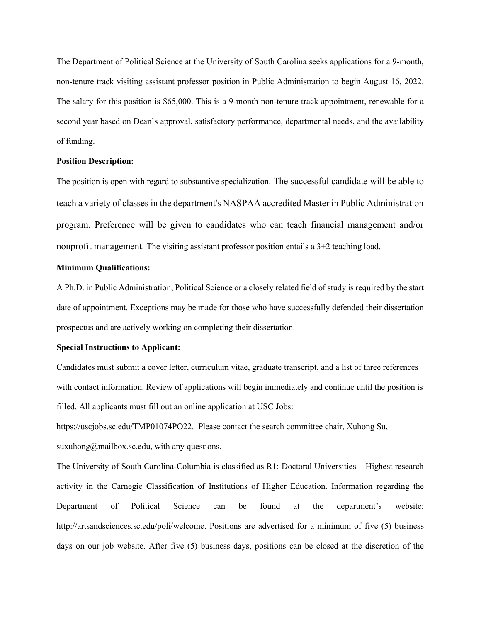The Department of Political Science at the University of South Carolina seeks applications for a 9-month, non-tenure track visiting assistant professor position in Public Administration to begin August 16, 2022. The salary for this position is \$65,000. This is a 9-month non-tenure track appointment, renewable for a second year based on Dean's approval, satisfactory performance, departmental needs, and the availability of funding.

#### Position Description:

The position is open with regard to substantive specialization. The successful candidate will be able to teach a variety of classes in the department's NASPAA accredited Master in Public Administration program. Preference will be given to candidates who can teach financial management and/or nonprofit management. The visiting assistant professor position entails a 3+2 teaching load.

### Minimum Qualifications:

A Ph.D. in Public Administration, Political Science or a closely related field of study is required by the start date of appointment. Exceptions may be made for those who have successfully defended their dissertation prospectus and are actively working on completing their dissertation.

### Special Instructions to Applicant:

Candidates must submit a cover letter, curriculum vitae, graduate transcript, and a list of three references with contact information. Review of applications will begin immediately and continue until the position is filled. All applicants must fill out an online application at USC Jobs:

https://uscjobs.sc.edu/TMP01074PO22. Please contact the search committee chair, Xuhong Su, suxuhong@mailbox.sc.edu, with any questions.

The University of South Carolina-Columbia is classified as R1: Doctoral Universities – Highest research activity in the Carnegie Classification of Institutions of Higher Education. Information regarding the Department of Political Science can be found at the department's website: http://artsandsciences.sc.edu/poli/welcome. Positions are advertised for a minimum of five (5) business days on our job website. After five (5) business days, positions can be closed at the discretion of the